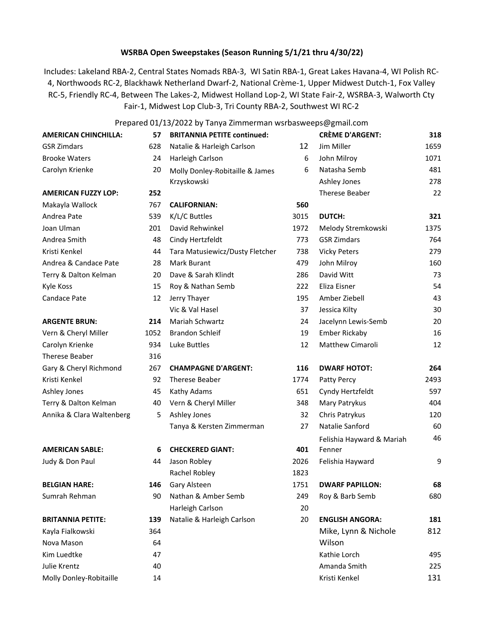# **WSRBA Open Sweepstakes (Season Running 5/1/21 thru 4/30/22)**

Includes: Lakeland RBA-2, Central States Nomads RBA-3, WI Satin RBA-1, Great Lakes Havana-4, WI Polish RC-4, Northwoods RC-2, Blackhawk Netherland Dwarf-2, National Crème-1, Upper Midwest Dutch-1, Fox Valley RC-5, Friendly RC-4, Between The Lakes-2, Midwest Holland Lop-2, WI State Fair-2, WSRBA-3, Walworth Cty Fair-1, Midwest Lop Club-3, Tri County RBA-2, Southwest WI RC-2

## Prepared 01/13/2022 by Tanya Zimmerman wsrbasweeps@gmail.com

| <b>AMERICAN CHINCHILLA:</b> | 57   | <b>BRITANNIA PETITE continued:</b> |      | <b>CRÈME D'ARGENT:</b>    | 318  |
|-----------------------------|------|------------------------------------|------|---------------------------|------|
| <b>GSR Zimdars</b>          | 628  | Natalie & Harleigh Carlson         | 12   | Jim Miller                | 1659 |
| <b>Brooke Waters</b>        | 24   | Harleigh Carlson                   | 6    | John Milroy               | 1071 |
| Carolyn Krienke             | 20   | Molly Donley-Robitaille & James    | 6    | Natasha Semb              | 481  |
|                             |      | Krzyskowski                        |      | Ashley Jones              | 278  |
| <b>AMERICAN FUZZY LOP:</b>  | 252  |                                    |      | Therese Beaber            | 22   |
| Makayla Wallock             | 767  | <b>CALIFORNIAN:</b>                | 560  |                           |      |
| Andrea Pate                 | 539  | K/L/C Buttles                      | 3015 | <b>DUTCH:</b>             | 321  |
| Joan Ulman                  | 201  | David Rehwinkel                    | 1972 | Melody Stremkowski        | 1375 |
| Andrea Smith                | 48   | Cindy Hertzfeldt                   | 773  | <b>GSR Zimdars</b>        | 764  |
| Kristi Kenkel               | 44   | Tara Matusiewicz/Dusty Fletcher    | 738  | <b>Vicky Peters</b>       | 279  |
| Andrea & Candace Pate       | 28   | Mark Burant                        | 479  | John Milroy               | 160  |
| Terry & Dalton Kelman       | 20   | Dave & Sarah Klindt                | 286  | David Witt                | 73   |
| Kyle Koss                   | 15   | Roy & Nathan Semb                  | 222  | Eliza Eisner              | 54   |
| Candace Pate                | 12   | Jerry Thayer                       | 195  | Amber Ziebell             | 43   |
|                             |      | Vic & Val Hasel                    | 37   | Jessica Kilty             | 30   |
| <b>ARGENTE BRUN:</b>        | 214  | Mariah Schwartz                    | 24   | Jacelynn Lewis-Semb       | 20   |
| Vern & Cheryl Miller        | 1052 | <b>Brandon Schleif</b>             | 19   | <b>Ember Rickaby</b>      | 16   |
| Carolyn Krienke             | 934  | Luke Buttles                       | 12   | <b>Matthew Cimaroli</b>   | 12   |
| <b>Therese Beaber</b>       | 316  |                                    |      |                           |      |
| Gary & Cheryl Richmond      | 267  | <b>CHAMPAGNE D'ARGENT:</b>         | 116  | <b>DWARF HOTOT:</b>       | 264  |
| Kristi Kenkel               | 92   | Therese Beaber                     | 1774 | Patty Percy               | 2493 |
| Ashley Jones                | 45   | Kathy Adams                        | 651  | Cyndy Hertzfeldt          | 597  |
| Terry & Dalton Kelman       | 40   | Vern & Cheryl Miller               | 348  | Mary Patrykus             | 404  |
| Annika & Clara Waltenberg   | 5    | Ashley Jones                       | 32   | Chris Patrykus            | 120  |
|                             |      | Tanya & Kersten Zimmerman          | 27   | Natalie Sanford           | 60   |
|                             |      |                                    |      | Felishia Hayward & Mariah | 46   |
| <b>AMERICAN SABLE:</b>      | 6    | <b>CHECKERED GIANT:</b>            | 401  | Fenner                    |      |
| Judy & Don Paul             | 44   | Jason Robley                       | 2026 | Felishia Hayward          | 9    |
|                             |      | Rachel Robley                      | 1823 |                           |      |
| <b>BELGIAN HARE:</b>        | 146  | Gary Alsteen                       | 1751 | <b>DWARF PAPILLON:</b>    | 68   |
| Sumrah Rehman               | 90   | Nathan & Amber Semb                | 249  | Roy & Barb Semb           | 680  |
|                             |      | Harleigh Carlson                   | 20   |                           |      |
| <b>BRITANNIA PETITE:</b>    | 139  | Natalie & Harleigh Carlson         | 20   | <b>ENGLISH ANGORA:</b>    | 181  |
| Kayla Fialkowski            | 364  |                                    |      | Mike, Lynn & Nichole      | 812  |
| Nova Mason                  | 64   |                                    |      | Wilson                    |      |
| Kim Luedtke                 | 47   |                                    |      | Kathie Lorch              | 495  |
| <b>Julie Krentz</b>         | 40   |                                    |      | Amanda Smith              | 225  |
| Molly Donley-Robitaille     | 14   |                                    |      | Kristi Kenkel             | 131  |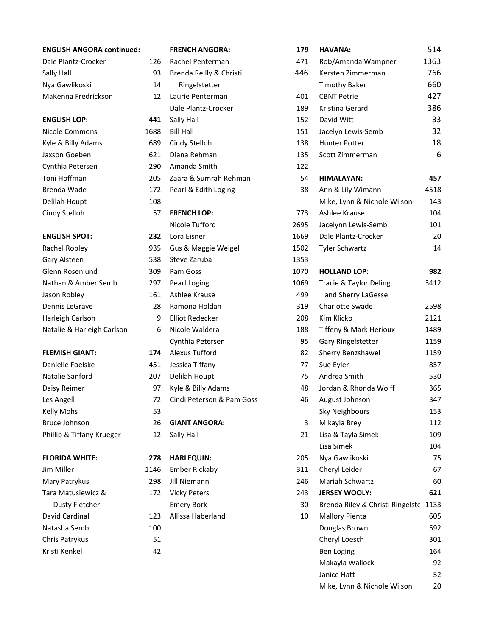| Dale Plantz-Crocker |  |
|---------------------|--|
| Sally Hall          |  |
| Nya Gawlikoski      |  |
| MaKenna Fredrickson |  |

## **FLEMISH GIANT:** 17

| Danielle Foelske          |
|---------------------------|
| Natalie Sanford           |
| Daisy Reimer              |
| Les Angell                |
| Kelly Mohs                |
| Bruce Johnson             |
| Phillip & Tiffany Krueger |

| <b>ENGLISH ANGORA continued:</b> |      | <b>FRENCH ANGORA:</b>     | 1            |
|----------------------------------|------|---------------------------|--------------|
| Dale Plantz-Crocker              | 126  | Rachel Penterman          | 4            |
| Sally Hall                       | 93   | Brenda Reilly & Christi   | 4            |
| Nya Gawlikoski                   | 14   | Ringelstetter             |              |
| MaKenna Fredrickson              | 12   | Laurie Penterman          | 4            |
|                                  |      | Dale Plantz-Crocker       | 1            |
| <b>ENGLISH LOP:</b>              | 441  | Sally Hall                | 1            |
| Nicole Commons                   | 1688 | <b>Bill Hall</b>          | $\mathbf{1}$ |
| Kyle & Billy Adams               | 689  | Cindy Stelloh             | 1            |
| Jaxson Goeben                    | 621  | Diana Rehman              | $\mathbf{1}$ |
| Cynthia Petersen                 | 290  | Amanda Smith              | 1            |
| Toni Hoffman                     | 205  | Zaara & Sumrah Rehman     |              |
| Brenda Wade                      | 172  | Pearl & Edith Loging      |              |
| Delilah Houpt                    | 108  |                           |              |
| Cindy Stelloh                    | 57   | <b>FRENCH LOP:</b>        | 7            |
|                                  |      | Nicole Tufford            | 26           |
| <b>ENGLISH SPOT:</b>             | 232  | Lora Eisner               | 16           |
| Rachel Robley                    | 935  | Gus & Maggie Weigel       | 15           |
| Gary Alsteen                     | 538  | Steve Zaruba              | 13           |
| Glenn Rosenlund                  | 309  | Pam Goss                  | 10           |
| Nathan & Amber Semb              | 297  | Pearl Loging              | 10           |
| Jason Robley                     | 161  | Ashlee Krause             | 4            |
| Dennis LeGrave                   | 28   | Ramona Holdan             | 3            |
| Harleigh Carlson                 | 9    | <b>Elliot Redecker</b>    | 2            |
| Natalie & Harleigh Carlson       | 6    | Nicole Waldera            | 1            |
|                                  |      | Cynthia Petersen          |              |
| <b>FLEMISH GIANT:</b>            | 174  | Alexus Tufford            |              |
| Danielle Foelske                 | 451  | Jessica Tiffany           |              |
| Natalie Sanford                  | 207  | Delilah Houpt             |              |
| Daisy Reimer                     | 97   | Kyle & Billy Adams        |              |
| Les Angell                       | 72   | Cindi Peterson & Pam Goss |              |
| <b>Kelly Mohs</b>                | 53   |                           |              |
| <b>Bruce Johnson</b>             | 26   | <b>GIANT ANGORA:</b>      |              |
| Phillip & Tiffany Krueger        | 12   | Sally Hall                |              |
| <b>FLORIDA WHITE:</b>            | 278  | <b>HARLEQUIN:</b>         | 2            |
| Jim Miller                       | 1146 | <b>Ember Rickaby</b>      | 3            |
| Mary Patrykus                    | 298  | Jill Niemann              | 2            |
| Tara Matusiewicz &               | 172  | <b>Vicky Peters</b>       | 2            |
| <b>Dusty Fletcher</b>            |      | <b>Emery Bork</b>         |              |
| David Cardinal                   | 123  | Allissa Haberland         |              |
| Natasha Semb                     | 100  |                           |              |
| Chris Patrykus                   | 51   |                           |              |

| <b>ENGLISH ANGORA continued:</b> |      | <b>FRENCH ANGORA:</b>     | 179  | <b>HAVANA:</b>                        | 514  |
|----------------------------------|------|---------------------------|------|---------------------------------------|------|
| Dale Plantz-Crocker              | 126  | Rachel Penterman          | 471  | Rob/Amanda Wampner                    | 1363 |
| Sally Hall                       | 93   | Brenda Reilly & Christi   | 446  | Kersten Zimmerman                     | 766  |
| Nya Gawlikoski                   | 14   | Ringelstetter             |      | <b>Timothy Baker</b>                  | 660  |
| MaKenna Fredrickson              | 12   | Laurie Penterman          | 401  | <b>CBNT Petrie</b>                    | 427  |
|                                  |      | Dale Plantz-Crocker       | 189  | Kristina Gerard                       | 386  |
| <b>ENGLISH LOP:</b>              | 441  | Sally Hall                | 152  | David Witt                            | 33   |
| Nicole Commons                   | 1688 | <b>Bill Hall</b>          | 151  | Jacelyn Lewis-Semb                    | 32   |
| Kyle & Billy Adams               | 689  | Cindy Stelloh             | 138  | <b>Hunter Potter</b>                  | 18   |
| Jaxson Goeben                    | 621  | Diana Rehman              | 135  | Scott Zimmerman                       | 6    |
| Cynthia Petersen                 | 290  | Amanda Smith              | 122  |                                       |      |
| Toni Hoffman                     | 205  | Zaara & Sumrah Rehman     | 54   | <b>HIMALAYAN:</b>                     | 457  |
| Brenda Wade                      | 172  | Pearl & Edith Loging      | 38   | Ann & Lily Wimann                     | 4518 |
| Delilah Houpt                    | 108  |                           |      | Mike, Lynn & Nichole Wilson           | 143  |
| Cindy Stelloh                    | 57   | <b>FRENCH LOP:</b>        | 773  | Ashlee Krause                         | 104  |
|                                  |      | Nicole Tufford            | 2695 | Jacelynn Lewis-Semb                   | 101  |
| <b>ENGLISH SPOT:</b>             | 232  | Lora Eisner               | 1669 | Dale Plantz-Crocker                   | 20   |
| Rachel Robley                    | 935  | Gus & Maggie Weigel       | 1502 | <b>Tyler Schwartz</b>                 | 14   |
| Gary Alsteen                     | 538  | Steve Zaruba              | 1353 |                                       |      |
| Glenn Rosenlund                  | 309  | Pam Goss                  | 1070 | <b>HOLLAND LOP:</b>                   | 982  |
| Nathan & Amber Semb              | 297  | Pearl Loging              | 1069 | Tracie & Taylor Deling                | 3412 |
| Jason Robley                     | 161  | Ashlee Krause             | 499  | and Sherry LaGesse                    |      |
| Dennis LeGrave                   | 28   | Ramona Holdan             | 319  | Charlotte Swade                       | 2598 |
| Harleigh Carlson                 | 9    | <b>Elliot Redecker</b>    | 208  | Kim Klicko                            | 2121 |
| Natalie & Harleigh Carlson       | 6    | Nicole Waldera            | 188  | Tiffeny & Mark Herioux                | 1489 |
|                                  |      | Cynthia Petersen          | 95   | Gary Ringelstetter                    | 1159 |
| <b>FLEMISH GIANT:</b>            | 174  | <b>Alexus Tufford</b>     | 82   | Sherry Benzshawel                     | 1159 |
| Danielle Foelske                 | 451  | Jessica Tiffany           | 77   | Sue Eyler                             | 857  |
| Natalie Sanford                  | 207  | Delilah Houpt             | 75   | Andrea Smith                          | 530  |
| Daisy Reimer                     | 97   | Kyle & Billy Adams        | 48   | Jordan & Rhonda Wolff                 | 365  |
| Les Angell                       | 72   | Cindi Peterson & Pam Goss | 46   | August Johnson                        | 347  |
| Kelly Mohs                       | 53   |                           |      | <b>Sky Neighbours</b>                 | 153  |
| Bruce Johnson                    | 26   | <b>GIANT ANGORA:</b>      | 3    | Mikayla Brey                          | 112  |
| Phillip & Tiffany Krueger        | 12   | Sally Hall                | 21   | Lisa & Tayla Simek                    | 109  |
|                                  |      |                           |      | Lisa Simek                            | 104  |
| <b>FLORIDA WHITE:</b>            | 278  | <b>HARLEQUIN:</b>         | 205  | Nya Gawlikoski                        | 75   |
| Jim Miller                       | 1146 | <b>Ember Rickaby</b>      | 311  | Cheryl Leider                         | 67   |
| Mary Patrykus                    | 298  | Jill Niemann              | 246  | Mariah Schwartz                       | 60   |
| Tara Matusiewicz &               | 172  | <b>Vicky Peters</b>       | 243  | <b>JERSEY WOOLY:</b>                  | 621  |
| <b>Dusty Fletcher</b>            |      | <b>Emery Bork</b>         | 30   | Brenda Riley & Christi Ringelste 1133 |      |
| David Cardinal                   | 123  | Allissa Haberland         | 10   | <b>Mallory Pienta</b>                 | 605  |
| Natasha Semb                     | 100  |                           |      | Douglas Brown                         | 592  |
| Chris Patrykus                   | 51   |                           |      | Cheryl Loesch                         | 301  |
| Kristi Kenkel                    | 42   |                           |      | <b>Ben Loging</b>                     | 164  |
|                                  |      |                           |      | Makayla Wallock                       | 92   |
|                                  |      |                           |      | Janice Hatt                           | 52   |
|                                  |      |                           |      | Mike, Lynn & Nichole Wilson           | 20   |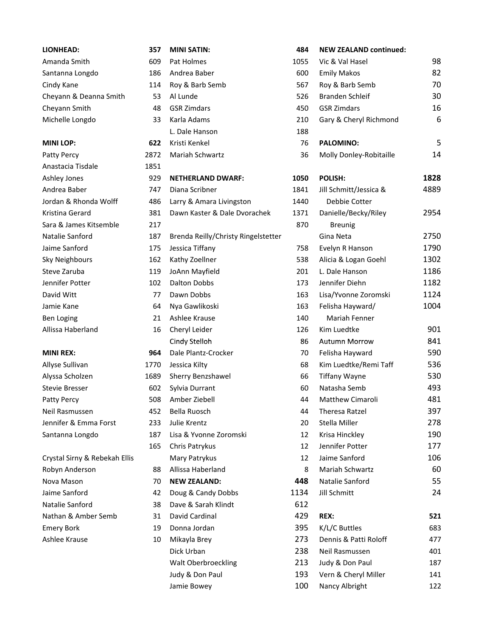| Patty Percy            |
|------------------------|
| Anastacia Tisdale      |
| Ashley Jones           |
| Andrea Baber           |
| Jordan & Rhonda Wolff  |
| Kristina Gerard        |
| Sara & James Kitsemble |
| Natalie Sanford        |
| Jaime Sanford          |
| Sky Neighbours         |
| Steve Zaruba           |
| Jennifer Potter        |
| David Witt             |
| Jamie Kane             |
| Ben Loging             |
| Allicca Haharland      |

| Allyse Sullivan       |
|-----------------------|
| Alyssa Scholzen       |
| Stevie Bresser        |
| <b>Patty Percy</b>    |
| Neil Rasmussen        |
| Jennifer & Emma Forst |
| Santanna Longdo       |

| <b>LIONHEAD:</b>              | 357  | <b>MINI SATIN:</b>                  | 484  | <b>NEW ZEALAND continued:</b> |      |
|-------------------------------|------|-------------------------------------|------|-------------------------------|------|
| Amanda Smith                  | 609  | Pat Holmes                          | 1055 | Vic & Val Hasel               | 98   |
| Santanna Longdo               | 186  | Andrea Baber                        | 600  | <b>Emily Makos</b>            | 82   |
| Cindy Kane                    | 114  | Roy & Barb Semb                     | 567  | Roy & Barb Semb               | 70   |
| Cheyann & Deanna Smith        | 53   | Al Lunde                            | 526  | Branden Schleif               | 30   |
| Cheyann Smith                 | 48   | <b>GSR Zimdars</b>                  | 450  | <b>GSR Zimdars</b>            | 16   |
| Michelle Longdo               | 33   | Karla Adams                         | 210  | Gary & Cheryl Richmond        | 6    |
|                               |      | L. Dale Hanson                      | 188  |                               |      |
| <b>MINI LOP:</b>              | 622  | Kristi Kenkel                       | 76   | <b>PALOMINO:</b>              | 5    |
| Patty Percy                   | 2872 | Mariah Schwartz                     | 36   | Molly Donley-Robitaille       | 14   |
| Anastacia Tisdale             | 1851 |                                     |      |                               |      |
| Ashley Jones                  | 929  | <b>NETHERLAND DWARF:</b>            | 1050 | POLISH:                       | 1828 |
| Andrea Baber                  | 747  | Diana Scribner                      | 1841 | Jill Schmitt/Jessica &        | 4889 |
| Jordan & Rhonda Wolff         | 486  | Larry & Amara Livingston            | 1440 | Debbie Cotter                 |      |
| Kristina Gerard               | 381  | Dawn Kaster & Dale Dvorachek        | 1371 | Danielle/Becky/Riley          | 2954 |
| Sara & James Kitsemble        | 217  |                                     | 870  | <b>Breunig</b>                |      |
| Natalie Sanford               | 187  | Brenda Reilly/Christy Ringelstetter |      | Gina Neta                     | 2750 |
| Jaime Sanford                 | 175  | Jessica Tiffany                     | 758  | Evelyn R Hanson               | 1790 |
| Sky Neighbours                | 162  | Kathy Zoellner                      | 538  | Alicia & Logan Goehl          | 1302 |
| Steve Zaruba                  | 119  | JoAnn Mayfield                      | 201  | L. Dale Hanson                | 1186 |
| Jennifer Potter               | 102  | <b>Dalton Dobbs</b>                 | 173  | Jennifer Diehn                | 1182 |
| David Witt                    | 77   | Dawn Dobbs                          | 163  | Lisa/Yvonne Zoromski          | 1124 |
| Jamie Kane                    | 64   | Nya Gawlikoski                      | 163  | Felisha Hayward/              | 1004 |
| <b>Ben Loging</b>             | 21   | Ashlee Krause                       | 140  | Mariah Fenner                 |      |
| Allissa Haberland             | 16   | Cheryl Leider                       | 126  | Kim Luedtke                   | 901  |
|                               |      | Cindy Stelloh                       | 86   | <b>Autumn Morrow</b>          | 841  |
| <b>MINI REX:</b>              | 964  | Dale Plantz-Crocker                 | 70   | Felisha Hayward               | 590  |
| Allyse Sullivan               | 1770 | Jessica Kilty                       | 68   | Kim Luedtke/Remi Taff         | 536  |
| Alyssa Scholzen               | 1689 | Sherry Benzshawel                   | 66   | <b>Tiffany Wayne</b>          | 530  |
| <b>Stevie Bresser</b>         | 602  | Sylvia Durrant                      | 60   | Natasha Semb                  | 493  |
| Patty Percy                   | 508  | Amber Ziebell                       | 44   | Matthew Cimaroli              | 481  |
| Neil Rasmussen                | 452  | Bella Ruosch                        | 44   | Theresa Ratzel                | 397  |
| Jennifer & Emma Forst         | 233  | Julie Krentz                        | 20   | Stella Miller                 | 278  |
| Santanna Longdo               | 187  | Lisa & Yvonne Zoromski              | 12   | Krisa Hinckley                | 190  |
|                               | 165  | Chris Patrykus                      | 12   | Jennifer Potter               | 177  |
| Crystal Sirny & Rebekah Ellis |      | Mary Patrykus                       | 12   | Jaime Sanford                 | 106  |
| Robyn Anderson                | 88   | Allissa Haberland                   | 8    | Mariah Schwartz               | 60   |
| Nova Mason                    | 70   | <b>NEW ZEALAND:</b>                 | 448  | Natalie Sanford               | 55   |
| Jaime Sanford                 | 42   | Doug & Candy Dobbs                  | 1134 | Jill Schmitt                  | 24   |
| Natalie Sanford               | 38   | Dave & Sarah Klindt                 | 612  |                               |      |
| Nathan & Amber Semb           | 31   | David Cardinal                      | 429  | REX:                          | 521  |
| <b>Emery Bork</b>             | 19   | Donna Jordan                        | 395  | K/L/C Buttles                 | 683  |
| Ashlee Krause                 | 10   | Mikayla Brey                        | 273  | Dennis & Patti Roloff         | 477  |
|                               |      | Dick Urban                          | 238  | Neil Rasmussen                | 401  |
|                               |      | Walt Oberbroeckling                 | 213  | Judy & Don Paul               | 187  |
|                               |      | Judy & Don Paul                     | 193  | Vern & Cheryl Miller          | 141  |
|                               |      | Jamie Bowey                         | 100  | Nancy Albright                | 122  |

| <b>LIONHEAD:</b>              | 357  | <b>MINI SATIN:</b>                  | 484  | <b>NEW ZEALAND continued:</b> |      |
|-------------------------------|------|-------------------------------------|------|-------------------------------|------|
| Amanda Smith                  | 609  | Pat Holmes                          | 1055 | Vic & Val Hasel               | 98   |
| Santanna Longdo               | 186  | Andrea Baber                        | 600  | <b>Emily Makos</b>            | 82   |
| Cindy Kane                    | 114  | Roy & Barb Semb                     | 567  | Roy & Barb Semb               | 70   |
| Cheyann & Deanna Smith        | 53   | Al Lunde                            | 526  | Branden Schleif               | 30   |
| Cheyann Smith                 | 48   | <b>GSR Zimdars</b>                  | 450  | <b>GSR Zimdars</b>            | 16   |
| Michelle Longdo               | 33   | Karla Adams                         | 210  | Gary & Cheryl Richmond        | 6    |
|                               |      | L. Dale Hanson                      | 188  |                               |      |
| <b>MINILOP:</b>               | 622  | Kristi Kenkel                       | 76   | <b>PALOMINO:</b>              | 5    |
| Patty Percy                   | 2872 | Mariah Schwartz                     | 36   | Molly Donley-Robitaille       | 14   |
| Anastacia Tisdale             | 1851 |                                     |      |                               |      |
| Ashley Jones                  | 929  | <b>NETHERLAND DWARF:</b>            | 1050 | POLISH:                       | 1828 |
| Andrea Baber                  | 747  | Diana Scribner                      | 1841 | Jill Schmitt/Jessica &        | 4889 |
| Jordan & Rhonda Wolff         | 486  | Larry & Amara Livingston            | 1440 | Debbie Cotter                 |      |
| Kristina Gerard               | 381  | Dawn Kaster & Dale Dvorachek        | 1371 | Danielle/Becky/Riley          | 2954 |
| Sara & James Kitsemble        | 217  |                                     | 870  | <b>Breunig</b>                |      |
| Natalie Sanford               | 187  | Brenda Reilly/Christy Ringelstetter |      | Gina Neta                     | 2750 |
| Jaime Sanford                 | 175  | Jessica Tiffany                     | 758  | Evelyn R Hanson               | 1790 |
| Sky Neighbours                | 162  | Kathy Zoellner                      | 538  | Alicia & Logan Goehl          | 1302 |
| Steve Zaruba                  | 119  | JoAnn Mayfield                      | 201  | L. Dale Hanson                | 1186 |
| Jennifer Potter               | 102  | <b>Dalton Dobbs</b>                 | 173  | Jennifer Diehn                | 1182 |
| David Witt                    | 77   | Dawn Dobbs                          | 163  | Lisa/Yvonne Zoromski          | 1124 |
| Jamie Kane                    | 64   | Nya Gawlikoski                      | 163  | Felisha Hayward/              | 1004 |
| <b>Ben Loging</b>             | 21   | Ashlee Krause                       | 140  | Mariah Fenner                 |      |
| Allissa Haberland             | 16   | Cheryl Leider                       | 126  | Kim Luedtke                   | 901  |
|                               |      | Cindy Stelloh                       | 86   | <b>Autumn Morrow</b>          | 841  |
| <b>MINI REX:</b>              | 964  | Dale Plantz-Crocker                 | 70   | Felisha Hayward               | 590  |
| Allyse Sullivan               | 1770 | Jessica Kilty                       | 68   | Kim Luedtke/Remi Taff         | 536  |
| Alyssa Scholzen               | 1689 | Sherry Benzshawel                   | 66   | <b>Tiffany Wayne</b>          | 530  |
| Stevie Bresser                | 602  | Sylvia Durrant                      | 60   | Natasha Semb                  | 493  |
| Patty Percy                   | 508  | Amber Ziebell                       | 44   | Matthew Cimaroli              | 481  |
| Neil Rasmussen                | 452  | Bella Ruosch                        | 44   | Theresa Ratzel                | 397  |
| Jennifer & Emma Forst         | 233  | Julie Krentz                        | 20   | Stella Miller                 | 278  |
| Santanna Longdo               | 187  | Lisa & Yvonne Zoromski              | 12   | Krisa Hinckley                | 190  |
|                               | 165  | Chris Patrykus                      | 12   | Jennifer Potter               | 177  |
| Crystal Sirny & Rebekah Ellis |      | Mary Patrykus                       | 12   | Jaime Sanford                 | 106  |
| Robyn Anderson                | 88   | Allissa Haberland                   | 8    | Mariah Schwartz               | 60   |
| Nova Mason                    | 70   | <b>NEW ZEALAND:</b>                 | 448  | Natalie Sanford               | 55   |
| Jaime Sanford                 | 42   | Doug & Candy Dobbs                  | 1134 | Jill Schmitt                  | 24   |
| Natalie Sanford               | 38   | Dave & Sarah Klindt                 | 612  |                               |      |
| Nathan & Amber Semb           | 31   | David Cardinal                      | 429  | REX:                          | 521  |
| <b>Emery Bork</b>             | 19   | Donna Jordan                        | 395  | K/L/C Buttles                 | 683  |
| Ashlee Krause                 | 10   | Mikayla Brey                        | 273  | Dennis & Patti Roloff         | 477  |
|                               |      | Dick Urban                          | 238  | Neil Rasmussen                | 401  |
|                               |      | <b>Walt Oberbroeckling</b>          | 213  | Judy & Don Paul               | 187  |
|                               |      | Judy & Don Paul                     | 193  | Vern & Cheryl Miller          | 141  |
|                               |      |                                     |      |                               |      |